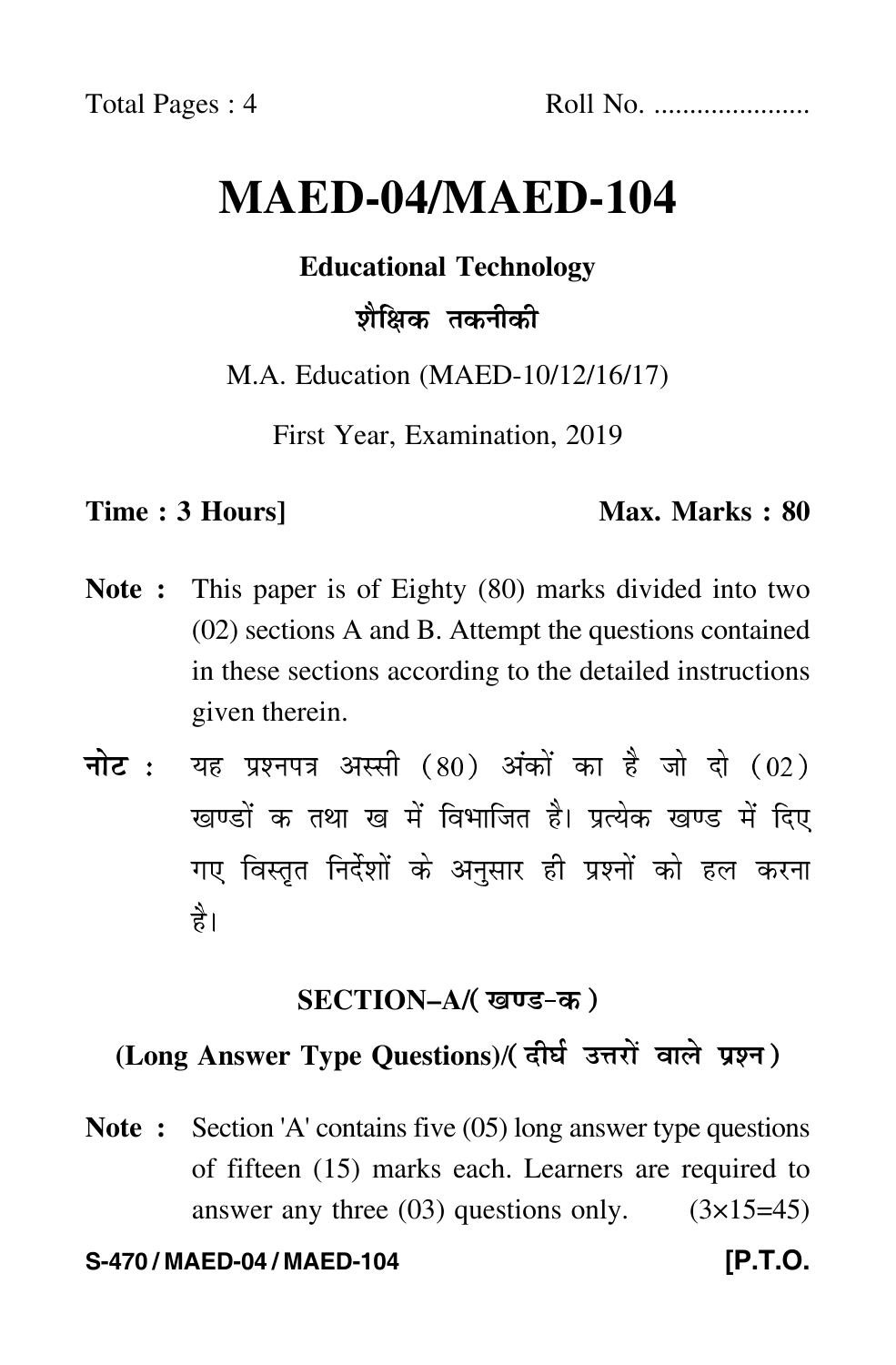# **MAED-04/MAED-104**

**Educational Technology**

# शैक्षिक तकनीकी

M.A. Education (MAED-10/12/16/17)

First Year, Examination, 2019

#### **Time : 3 Hours]** Max. Marks : 80

- **Note :** This paper is of Eighty (80) marks divided into two (02) sections A and B. Attempt the questions contained in these sections according to the detailed instructions given therein.
- नोट : यह प्रश्नपत्र अस्सी (80) अंकों का है जो दो (02) खण्डों क तथा ख में विभाजित है। प्रत्येक खण्ड में दिए गए विस्तृत निर्देशों के अनुसार ही प्रश्नों को हल करन<mark>ा</mark> है।

## <u>SECTION–A/( खण्ड-क</u> )

## (Long Answer Type Questions)/( दीर्घ उत्तरों वाले प्रश्न )

**Note :** Section 'A' contains five (05) long answer type questions of fifteen (15) marks each. Learners are required to answer any three  $(03)$  questions only.  $(3\times15=45)$ 

#### **S-470 / MAED-04 / MAED-104 [P.T.O.**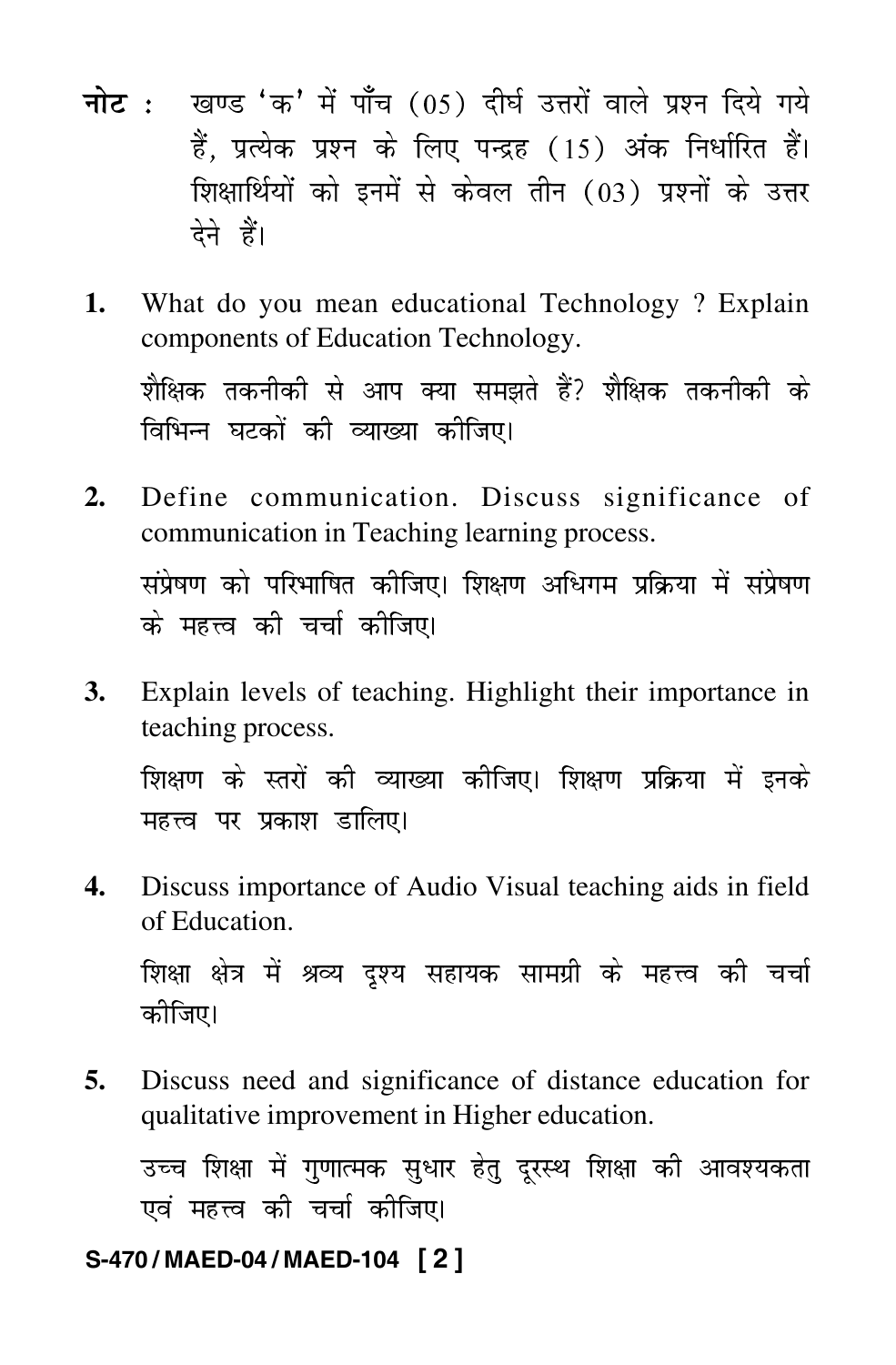- <mark>नोट</mark> : खण्ड 'क' में पाँच (05) दीर्घ उत्तरों वाले प्रश्न दिये गये हैं, प्रत्येक प्रश्न के लिए पन्द्रह (15) अंक निर्धारित हैं। शिक्षार्थियों को इनमें से केवल तीन (03) प्रश्नों के उत्तर देने हैं।
- **1.** What do you mean educational Technology ? Explain components of Education Technology. शाक्षक तकनाका स आप क्या समझत ह*र* शाक्षक तकनाका क<br>२०० ।वाभन्न घटका का व्याख्या का।जए।<br>'
- **2.** Define communication. Discuss significance of communication in Teaching learning process. सप्रषण का पारमााषत कााजए। ।राक्षण आघगम प्राक्रया म सप्रषण<br>--क महत्त्व का चचा कााजए।<br>'
- **3.** Explain levels of teaching. Highlight their importance in teaching process. --"-  \*#- -- --"- &-  +  महत्त्व पर प्रकाश डाालए।<br>'
- **4.** Discuss importance of Audio Visual teaching aids in field of Education.

शिक्षा क्षेत्र में श्रव्य दृश्य सहायक सामग्री के महत्त्व की चेचा<br>- - --कााजए।

**5.** Discuss need and significance of distance education for qualitative improvement in Higher education.

उच्च शिक्षा म गुणात्मक सुघार हतु दूरस्थ शिक्षा का आवश्यकता<br>... |<br>|<br>| |<br>|<br>| -एव महत्त्व का चचा कााजए।<br>'

#### **S-470 / MAED-04 / MAED-104 [ 2 ]**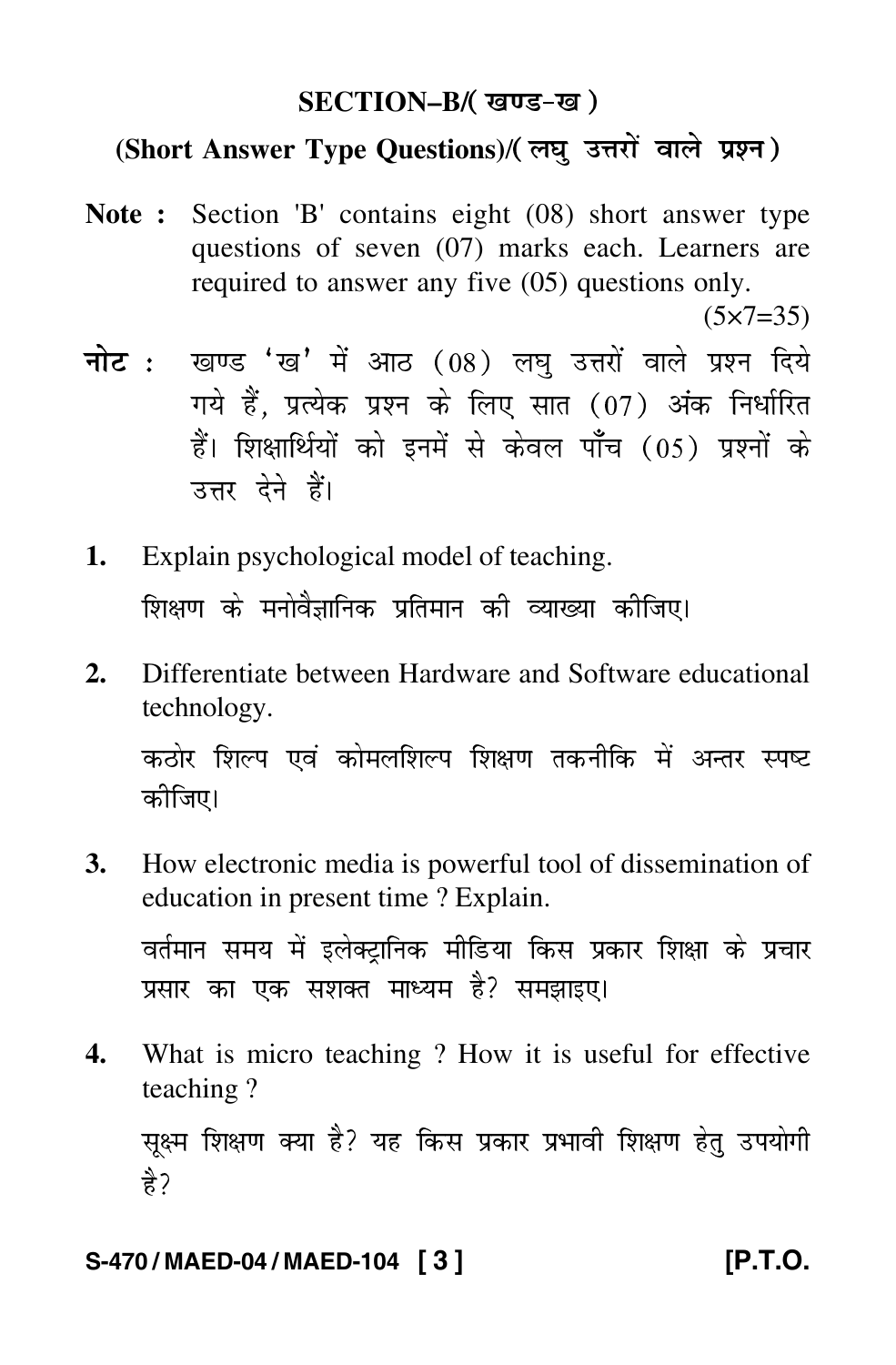## SECTION<mark>–B/( खण्ड-ख</mark> )

## (Short Answer Type Questions)/(लघु उत्तरों वाले प्रश्न)

**Note :** Section 'B' contains eight (08) short answer type questions of seven (07) marks each. Learners are required to answer any five (05) questions only.

 $(5 \times 7 = 35)$ 

- <mark>नोट</mark> : खण्ड 'ख' में आठ (08) लघु उत्तरों वाले प्रश्न दिये गये हैं, प्रत्येक प्रश्न के लिए सात (07) अंक निर्धारित हैं। शिक्षार्थियों को इनमें से केवल पाँच (05) प्रश्नों के उत्तर देने हैं।
- **1.** Explain psychological model of teaching. ।शक्षण के मनावज्ञानिक प्रांतमान का व्याख्या का।जए।<br>'
- **2.** Differentiate between Hardware and Software educational technology. कठार ाशल्प एव कामलाशल्प ाशक्षण तकना।क म अन्तर स्पष्ट<br>- ^ कााजए।
- **3.** How electronic media is powerful tool of dissemination of education in present time ? Explain.

वतमान समय म इलक्ट्रानिक माडिया किस प्रकार शिक्षा के प्रचार<br>- ^--प्रसार का एक संशक्त माध्यम ह $\epsilon$  समझाइए।

**4.** What is micro teaching ? How it is useful for effective teaching ?

સૂક્ષ્મ ગિક્ષળ જ્યા દ*ર* યદ ારુસ પ્રજાર પ્રમાવા ગિક્ષળ દતુ ૩૫વામા<br>^ -है?

#### **S-470 / MAED-04 / MAED-104 [ 3 ] [P.T.O.**